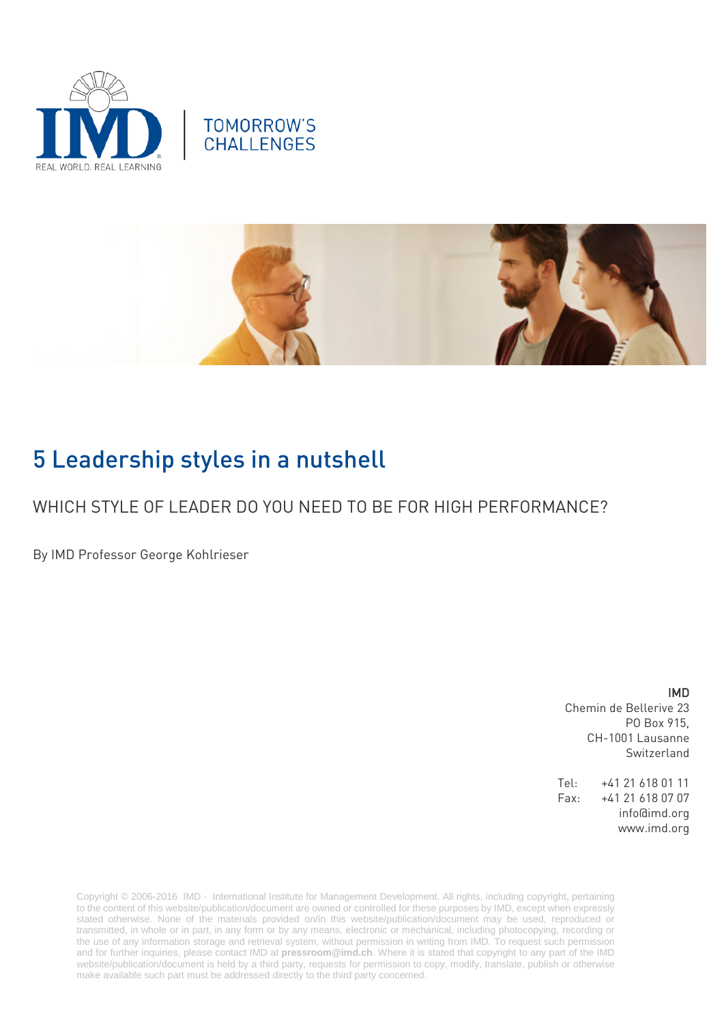





# 5 Leadership styles in a nutshell

## WHICH STYLE OF LEADER DO YOU NEED TO BE FOR HIGH PERFORMANCE?

By IMD Professor George Kohlrieser

### IMD

Chemin de Bellerive 23 PO Box 915, CH-1001 Lausanne Switzerland

Tel: +41 21 618 01 11 Fax: +41 21 618 07 07 info@imd.org www.imd.org

Copyright © 2006-2016 IMD - International Institute for Management Development. All rights, including copyright, pertaining to the content of this website/publication/document are owned or controlled for these purposes by IMD, except when expressly stated otherwise. None of the materials provided on/in this website/publication/document may be used, reproduced or transmitted, in whole or in part, in any form or by any means, electronic or mechanical, including photocopying, recording or the use of any information storage and retrieval system, without permission in writing from IMD. To request such permission and for further inquiries, please contact IMD at **[pressroom@imd.ch](mailto:pressroom@imd.ch)**. Where it is stated that copyright to any part of the IMD website/publication/document is held by a third party, requests for permission to copy, modify, translate, publish or otherwise make available such part must be addressed directly to the third party concerned.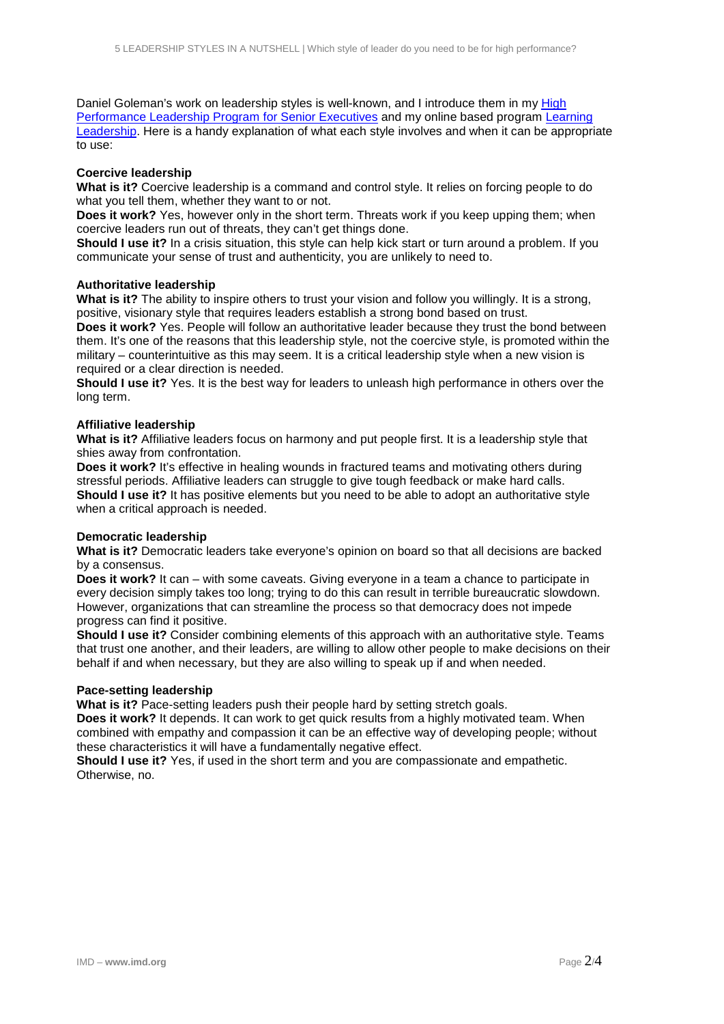Daniel Goleman's work on leadership styles is well-known, and I introduce them in my High [Performance Leadership Program for Senior Executives](http://www.imd.org/executive-education/hpl/leadership-training/description-dates-fees/) and my online based program [Learning](https://www.imd.org/glc/online-business-courses/learning-leadership/)  [Leadership.](https://www.imd.org/glc/online-business-courses/learning-leadership/) Here is a handy explanation of what each style involves and when it can be appropriate to use:

#### **Coercive leadership**

**What is it?** Coercive leadership is a command and control style. It relies on forcing people to do what you tell them, whether they want to or not.

**Does it work?** Yes, however only in the short term. Threats work if you keep upping them; when coercive leaders run out of threats, they can't get things done.

**Should I use it?** In a crisis situation, this style can help kick start or turn around a problem. If you communicate your sense of trust and authenticity, you are unlikely to need to.

#### **Authoritative leadership**

What is it? The ability to inspire others to trust your vision and follow you willingly. It is a strong, positive, visionary style that requires leaders establish a strong bond based on trust.

**Does it work?** Yes. People will follow an authoritative leader because they trust the bond between them. It's one of the reasons that this leadership style, not the coercive style, is promoted within the military – counterintuitive as this may seem. It is a critical leadership style when a new vision is required or a clear direction is needed.

**Should I use it?** Yes. It is the best way for leaders to unleash high performance in others over the long term.

#### **Affiliative leadership**

**What is it?** Affiliative leaders focus on harmony and put people first. It is a leadership style that shies away from confrontation.

**Does it work?** It's effective in healing wounds in fractured teams and motivating others during stressful periods. Affiliative leaders can struggle to give tough feedback or make hard calls. **Should I use it?** It has positive elements but you need to be able to adopt an authoritative style when a critical approach is needed.

#### **Democratic leadership**

**What is it?** Democratic leaders take everyone's opinion on board so that all decisions are backed by a consensus.

**Does it work?** It can – with some caveats. Giving everyone in a team a chance to participate in every decision simply takes too long; trying to do this can result in terrible bureaucratic slowdown. However, organizations that can streamline the process so that democracy does not impede progress can find it positive.

**Should I use it?** Consider combining elements of this approach with an authoritative style. Teams that trust one another, and their leaders, are willing to allow other people to make decisions on their behalf if and when necessary, but they are also willing to speak up if and when needed.

#### **Pace-setting leadership**

**What is it?** Pace-setting leaders push their people hard by setting stretch goals.

**Does it work?** It depends. It can work to get quick results from a highly motivated team. When combined with empathy and compassion it can be an effective way of developing people; without these characteristics it will have a fundamentally negative effect.

**Should I use it?** Yes, if used in the short term and you are compassionate and empathetic. Otherwise, no.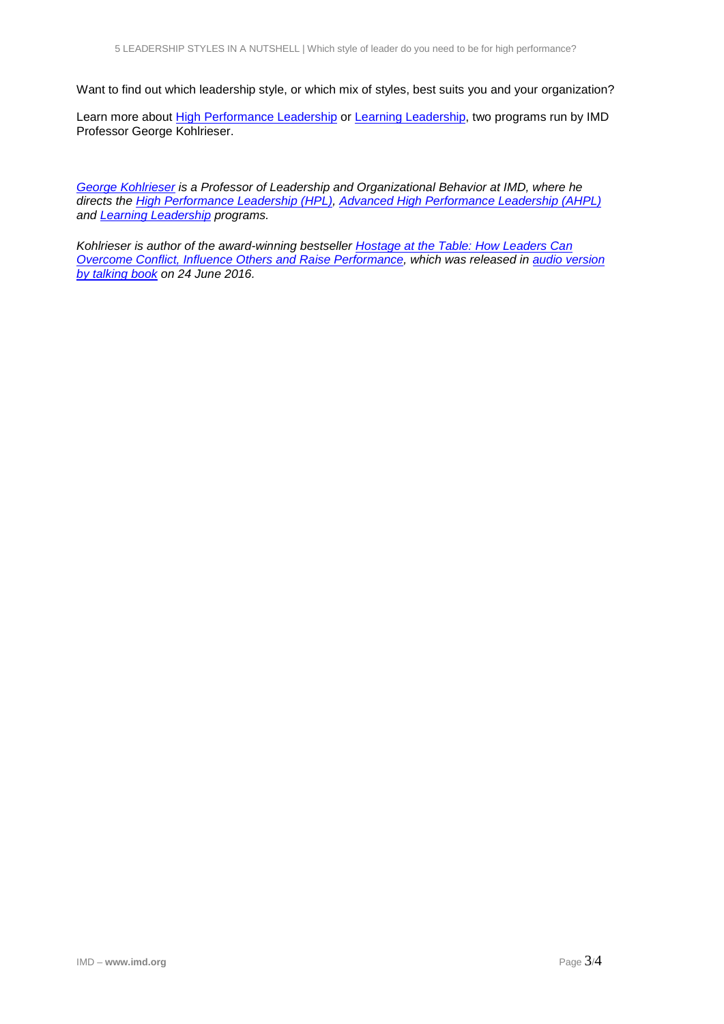Want to find out which leadership style, or which mix of styles, best suits you and your organization?

Learn more about [High Performance Leadership](http://www.imd.org/executive-education/hpl/leadership-training/description-dates-fees/) or Learning Leadership, two programs run by IMD Professor George Kohlrieser.

*[George Kohlrieser](http://www.imd.org/about/facultystaff/kohlrieser.cfm) is a Professor of Leadership and Organizational Behavior at IMD, where he directs the [High Performance Leadership \(HPL\),](http://www.imd.org/executive-education/hpl/leadership-training/description-dates-fees/) [Advanced High Performance Leadership \(AHPL\)](http://www.imd.org/executive-education/ahpl/advanced-leadership-training/description-dates-fees/) and [Learning Leadership](http://www.imd.org/uupload/IMD.WebSite/Oep/ll/Brochure/IMD_LL_Brochure.pdf) programs.*

*Kohlrieser is author of the award-winning bestseller [Hostage at the Table: How Leaders Can](http://eu.wiley.com/WileyCDA/WileyTitle/productCd-0787983845.html)  [Overcome Conflict, Influence Others and Raise Performance,](http://eu.wiley.com/WileyCDA/WileyTitle/productCd-0787983845.html) which was released in audio version by talking book on 24 June 2016.*